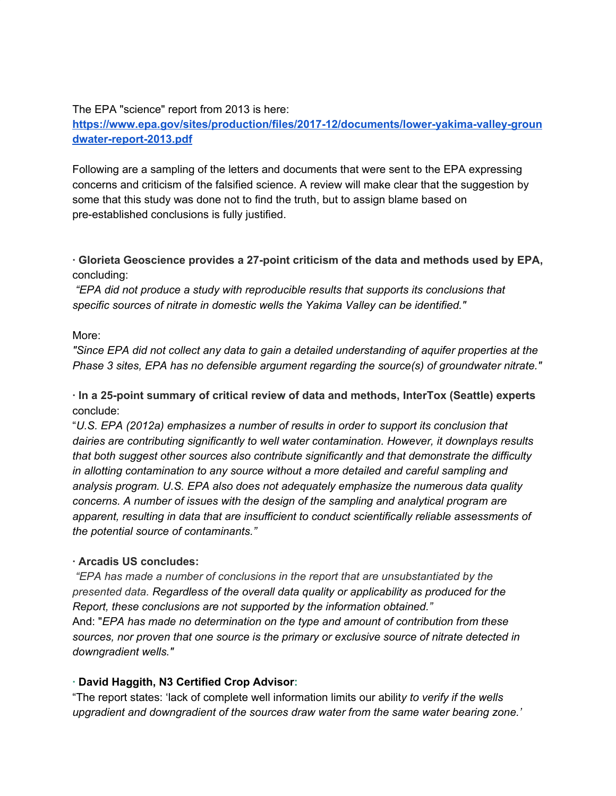The EPA "science" report from 2013 is here:

**[https://www.epa.gov/sites/production/files/2017-12/documents/lower-yakima-valley-groun](https://www.epa.gov/sites/production/files/2017-12/documents/lower-yakima-valley-groundwater-report-2013.pdf) [dwater-report-2013.pdf](https://www.epa.gov/sites/production/files/2017-12/documents/lower-yakima-valley-groundwater-report-2013.pdf)**

Following are a sampling of the letters and documents that were sent to the EPA expressing concerns and criticism of the falsified science. A review will make clear that the suggestion by some that this study was done not to find the truth, but to assign blame based on pre-established conclusions is fully justified.

**· Glorieta Geoscience provides a 27-point criticism of the data and methods used by EPA,** concluding:

*"EPA did not produce a study with reproducible results that supports its conclusions that specific sources of nitrate in domestic wells the Yakima Valley can be identified."*

More:

*"Since EPA did not collect any data to gain a detailed understanding of aquifer properties at the Phase 3 sites, EPA has no defensible argument regarding the source(s) of groundwater nitrate."*

**· In a 25-point summary of critical review of data and methods, InterTox (Seattle) experts** conclude:

"*U.S. EPA (2012a) emphasizes a number of results in order to support its conclusion that dairies are contributing significantly to well water contamination. However, it downplays results that both suggest other sources also contribute significantly and that demonstrate the difficulty in allotting contamination to any source without a more detailed and careful sampling and analysis program. U.S. EPA also does not adequately emphasize the numerous data quality concerns. A number of issues with the design of the sampling and analytical program are apparent, resulting in data that are insufficient to conduct scientifically reliable assessments of the potential source of contaminants."*

# **· Arcadis US concludes:**

*"EPA has made a number of conclusions in the report that are unsubstantiated by the presented data. Regardless of the overall data quality or applicability as produced for the Report, these conclusions are not supported by the information obtained."* And: "*EPA has made no determination on the type and amount of contribution from these sources, nor proven that one source is the primary or exclusive source of nitrate detected in*

*downgradient wells."*

# **· David Haggith, N3 Certified Crop Advisor:**

"The report states: 'lack of complete well information limits our abilit*y to verify if the wells upgradient and downgradient of the sources draw water from the same water bearing zone.'*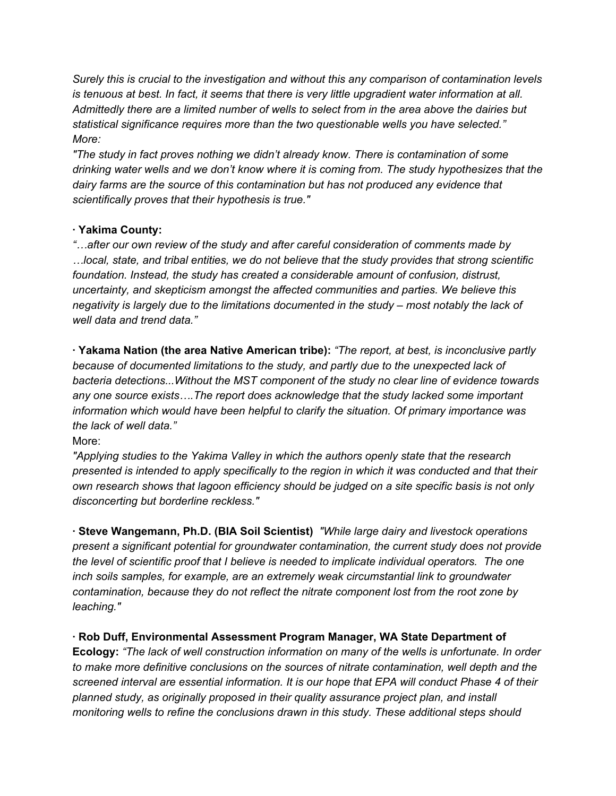*Surely this is crucial to the investigation and without this any comparison of contamination levels* is tenuous at best. In fact, it seems that there is very little upgradient water information at all. *Admittedly there are a limited number of wells to select from in the area above the dairies but statistical significance requires more than the two questionable wells you have selected." More:*

*"The study in fact proves nothing we didn't already know. There is contamination of some drinking water wells and we don't know where it is coming from. The study hypothesizes that the dairy farms are the source of this contamination but has not produced any evidence that scientifically proves that their hypothesis is true."*

# **· Yakima County:**

*"…after our own review of the study and after careful consideration of comments made by …local, state, and tribal entities, we do not believe that the study provides that strong scientific foundation. Instead, the study has created a considerable amount of confusion, distrust, uncertainty, and skepticism amongst the affected communities and parties. We believe this negativity is largely due to the limitations documented in the study – most notably the lack of well data and trend data."*

**· Yakama Nation (the area Native American tribe):** *"The report, at best, is inconclusive partly because of documented limitations to the study, and partly due to the unexpected lack of bacteria detections...Without the MST component of the study no clear line of evidence towards any one source exists….The report does acknowledge that the study lacked some important information which would have been helpful to clarify the situation. Of primary importance was the lack of well data."*

### More:

*"Applying studies to the Yakima Valley in which the authors openly state that the research presented is intended to apply specifically to the region in which it was conducted and that their own research shows that lagoon efficiency should be judged on a site specific basis is not only disconcerting but borderline reckless."*

**· Steve Wangemann, Ph.D. (BIA Soil Scientist)** *"While large dairy and livestock operations present a significant potential for groundwater contamination, the current study does not provide the level of scientific proof that I believe is needed to implicate individual operators. The one inch soils samples, for example, are an extremely weak circumstantial link to groundwater contamination, because they do not reflect the nitrate component lost from the root zone by leaching."*

**· Rob Duff, Environmental Assessment Program Manager, WA State Department of Ecology:** *"The lack of well construction information on many of the wells is unfortunate. In order to make more definitive conclusions on the sources of nitrate contamination, well depth and the screened interval are essential information. It is our hope that EPA will conduct Phase 4 of their planned study, as originally proposed in their quality assurance project plan, and install monitoring wells to refine the conclusions drawn in this study. These additional steps should*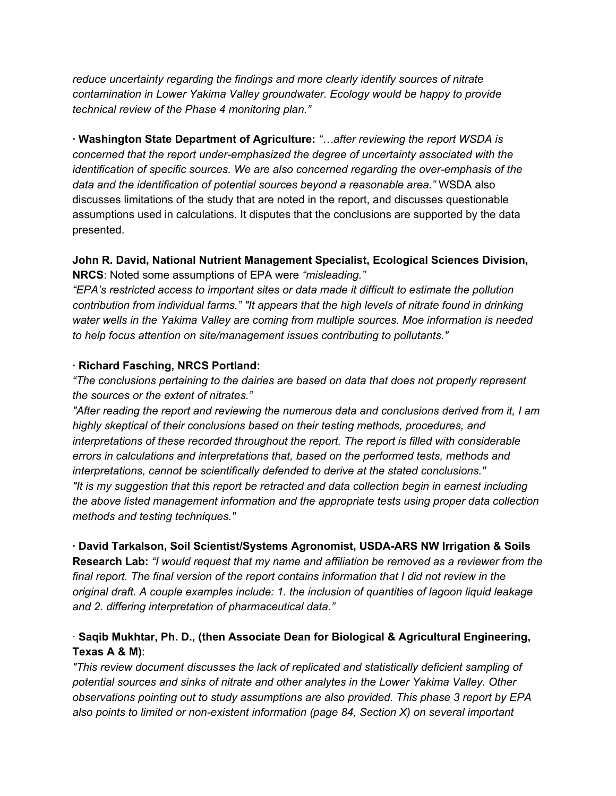*reduce uncertainty regarding the findings and more clearly identify sources of nitrate contamination in Lower Yakima Valley groundwater. Ecology would be happy to provide technical review of the Phase 4 monitoring plan."*

**· Washington State Department of Agriculture:** *"…after reviewing the report WSDA is concerned that the report under-emphasized the degree of uncertainty associated with the identification of specific sources. We are also concerned regarding the over-emphasis of the data and the identification of potential sources beyond a reasonable area."* WSDA also discusses limitations of the study that are noted in the report, and discusses questionable assumptions used in calculations. It disputes that the conclusions are supported by the data presented.

### **John R. David, National Nutrient Management Specialist, Ecological Sciences Division, NRCS**: Noted some assumptions of EPA were *"misleading."*

*"EPA's restricted access to important sites or data made it difficult to estimate the pollution contribution from individual farms." "It appears that the high levels of nitrate found in drinking water wells in the Yakima Valley are coming from multiple sources. Moe information is needed to help focus attention on site/management issues contributing to pollutants."*

### **· Richard Fasching, NRCS Portland:**

*"The conclusions pertaining to the dairies are based on data that does not properly represent the sources or the extent of nitrates."*

*"After reading the report and reviewing the numerous data and conclusions derived from it, I am highly skeptical of their conclusions based on their testing methods, procedures, and interpretations of these recorded throughout the report. The report is filled with considerable errors in calculations and interpretations that, based on the performed tests, methods and interpretations, cannot be scientifically defended to derive at the stated conclusions." "It is my suggestion that this report be retracted and data collection begin in earnest including the above listed management information and the appropriate tests using proper data collection methods and testing techniques."*

### **· David Tarkalson, Soil Scientist/Systems Agronomist, USDA-ARS NW Irrigation & Soils**

**Research Lab:** *"I would request that my name and affiliation be removed as a reviewer from the final report. The final version of the report contains information that I did not review in the original draft. A couple examples include: 1. the inclusion of quantities of lagoon liquid leakage and 2. differing interpretation of pharmaceutical data."*

# · **Saqib Mukhtar, Ph. D., (then Associate Dean for Biological & Agricultural Engineering, Texas A & M)**:

*"This review document discusses the lack of replicated and statistically deficient sampling of potential sources and sinks of nitrate and other analytes in the Lower Yakima Valley. Other observations pointing out to study assumptions are also provided. This phase 3 report by EPA also points to limited or non-existent information (page 84, Section X) on several important*